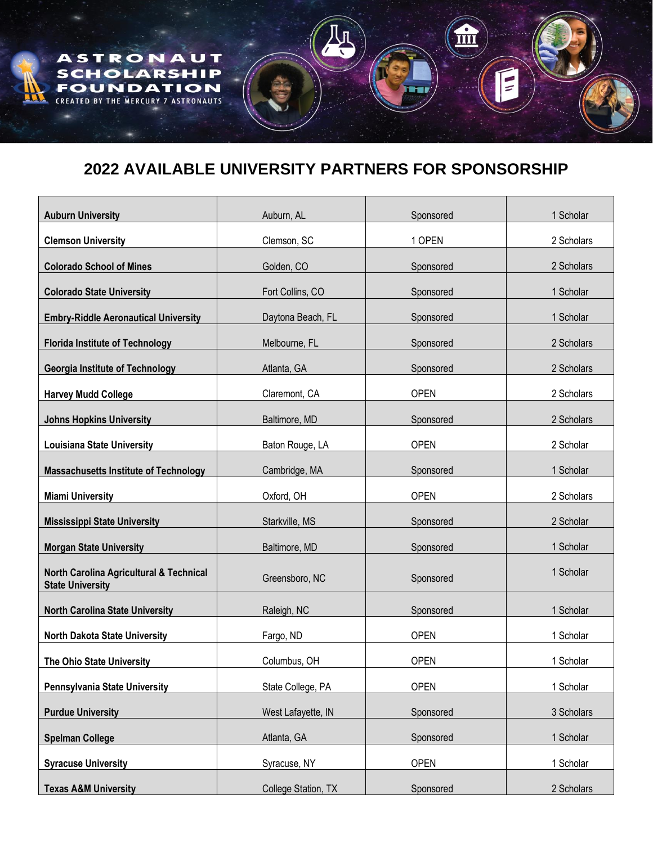## **2022 AVAILABLE UNIVERSITY PARTNERS FOR SPONSORSHIP**

STRONA

HOLAR

DA

MERCURY

π

U T

ON

**RONAUTS** 

**IP** 

A

 $\overline{\mathbf{s}}$ 

 $\overline{\mathbf{u}}$ 

E

| <b>Auburn University</b>                                           | Auburn, AL          | Sponsored   | 1 Scholar  |
|--------------------------------------------------------------------|---------------------|-------------|------------|
| <b>Clemson University</b>                                          | Clemson, SC         | 1 OPEN      | 2 Scholars |
| <b>Colorado School of Mines</b>                                    | Golden, CO          | Sponsored   | 2 Scholars |
| <b>Colorado State University</b>                                   | Fort Collins, CO    | Sponsored   | 1 Scholar  |
| <b>Embry-Riddle Aeronautical University</b>                        | Daytona Beach, FL   | Sponsored   | 1 Scholar  |
| <b>Florida Institute of Technology</b>                             | Melbourne, FL       | Sponsored   | 2 Scholars |
| <b>Georgia Institute of Technology</b>                             | Atlanta, GA         | Sponsored   | 2 Scholars |
| <b>Harvey Mudd College</b>                                         | Claremont, CA       | <b>OPEN</b> | 2 Scholars |
| <b>Johns Hopkins University</b>                                    | Baltimore, MD       | Sponsored   | 2 Scholars |
| <b>Louisiana State University</b>                                  | Baton Rouge, LA     | <b>OPEN</b> | 2 Scholar  |
| <b>Massachusetts Institute of Technology</b>                       | Cambridge, MA       | Sponsored   | 1 Scholar  |
| <b>Miami University</b>                                            | Oxford, OH          | <b>OPEN</b> | 2 Scholars |
| <b>Mississippi State University</b>                                | Starkville, MS      | Sponsored   | 2 Scholar  |
| <b>Morgan State University</b>                                     | Baltimore, MD       | Sponsored   | 1 Scholar  |
| North Carolina Agricultural & Technical<br><b>State University</b> | Greensboro, NC      | Sponsored   | 1 Scholar  |
| <b>North Carolina State University</b>                             | Raleigh, NC         | Sponsored   | 1 Scholar  |
| <b>North Dakota State University</b>                               | Fargo, ND           | <b>OPEN</b> | 1 Scholar  |
| The Ohio State University                                          | Columbus, OH        | <b>OPEN</b> | 1 Scholar  |
| Pennsylvania State University                                      | State College, PA   | <b>OPEN</b> | 1 Scholar  |
| <b>Purdue University</b>                                           | West Lafayette, IN  | Sponsored   | 3 Scholars |
| <b>Spelman College</b>                                             | Atlanta, GA         | Sponsored   | 1 Scholar  |
| <b>Syracuse University</b>                                         | Syracuse, NY        | <b>OPEN</b> | 1 Scholar  |
| <b>Texas A&amp;M University</b>                                    | College Station, TX | Sponsored   | 2 Scholars |